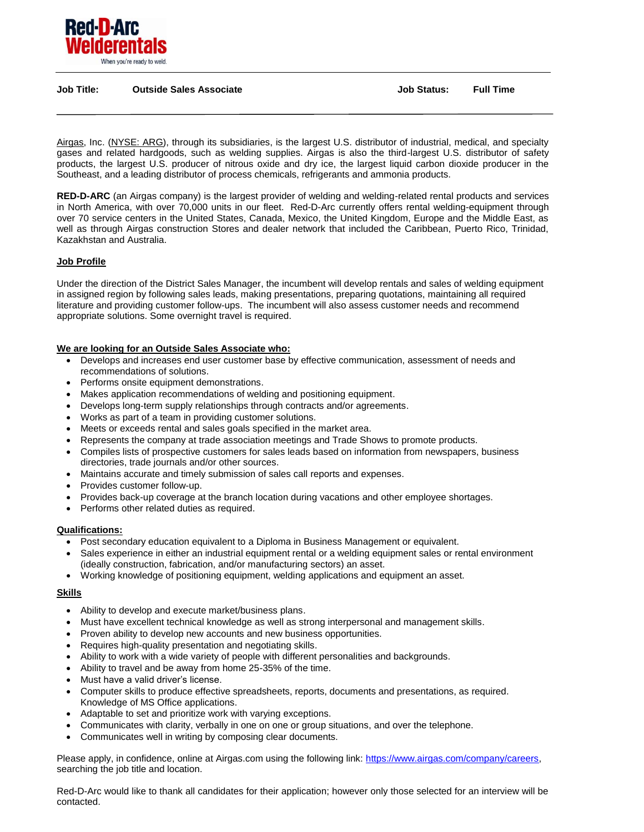

#### **Job Title: Outside Sales Associate Job Status: Full Time**

[Airgas,](http://www.airgas.com/home.aspx) Inc. [\(NYSE: ARG\)](http://investor.shareholder.com/arg/stockquote.cfm), through its subsidiaries, is the largest U.S. distributor of industrial, medical, and specialty gases and related hardgoods, such as welding supplies. Airgas is also the third-largest U.S. distributor of safety products, the largest U.S. producer of nitrous oxide and dry ice, the largest liquid carbon dioxide producer in the Southeast, and a leading distributor of process chemicals, refrigerants and ammonia products.

**RED-D-ARC** (an Airgas company) is the largest provider of welding and welding-related rental products and services in North America, with over 70,000 units in our fleet. Red-D-Arc currently offers rental welding-equipment through over 70 service centers in the United States, Canada, Mexico, the United Kingdom, Europe and the Middle East, as well as through Airgas construction Stores and dealer network that included the Caribbean, Puerto Rico, Trinidad, Kazakhstan and Australia.

## **Job Profile**

Under the direction of the District Sales Manager, the incumbent will develop rentals and sales of welding equipment in assigned region by following sales leads, making presentations, preparing quotations, maintaining all required literature and providing customer follow-ups. The incumbent will also assess customer needs and recommend appropriate solutions. Some overnight travel is required.

### **We are looking for an Outside Sales Associate who:**

- Develops and increases end user customer base by effective communication, assessment of needs and recommendations of solutions.
- Performs onsite equipment demonstrations.
- Makes application recommendations of welding and positioning equipment.
- Develops long-term supply relationships through contracts and/or agreements.
- Works as part of a team in providing customer solutions.
- Meets or exceeds rental and sales goals specified in the market area.
- Represents the company at trade association meetings and Trade Shows to promote products.
- Compiles lists of prospective customers for sales leads based on information from newspapers, business directories, trade journals and/or other sources.
- Maintains accurate and timely submission of sales call reports and expenses.
- Provides customer follow-up.
- Provides back-up coverage at the branch location during vacations and other employee shortages.
- Performs other related duties as required.

### **Qualifications:**

- Post secondary education equivalent to a Diploma in Business Management or equivalent.
- Sales experience in either an industrial equipment rental or a welding equipment sales or rental environment (ideally construction, fabrication, and/or manufacturing sectors) an asset.
- Working knowledge of positioning equipment, welding applications and equipment an asset.

# **Skills**

- Ability to develop and execute market/business plans.
- Must have excellent technical knowledge as well as strong interpersonal and management skills.
- Proven ability to develop new accounts and new business opportunities.
- Requires high-quality presentation and negotiating skills.
- Ability to work with a wide variety of people with different personalities and backgrounds.
- Ability to travel and be away from home 25-35% of the time.
- Must have a valid driver's license.
- Computer skills to produce effective spreadsheets, reports, documents and presentations, as required. Knowledge of MS Office applications.
- Adaptable to set and prioritize work with varying exceptions.
- Communicates with clarity, verbally in one on one or group situations, and over the telephone.
- Communicates well in writing by composing clear documents.

Please apply, in confidence, online at Airgas.com using the following link[: https://www.airgas.com/company/careers,](https://www.airgas.com/company/careers) searching the job title and location.

Red-D-Arc would like to thank all candidates for their application; however only those selected for an interview will be contacted.